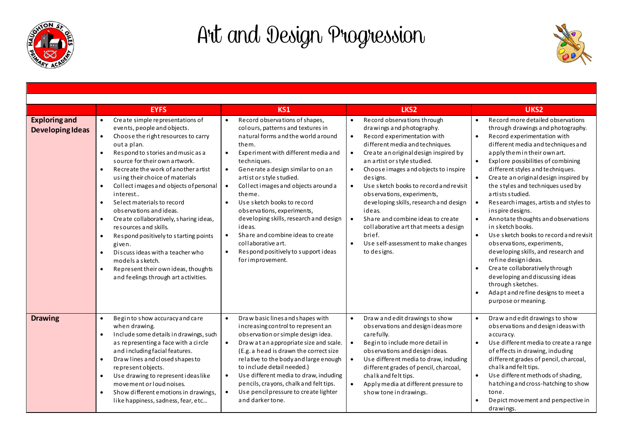

## Art and Design Progression



| <b>Exploring and</b><br><b>Developing Ideas</b> | <b>EYFS</b><br>Create simple representations of<br>$\bullet$<br>events, people and objects.<br>Choose the right resources to carry<br>out a plan.<br>Respond to stories and music as a<br>source for their own artwork.<br>Recreate the work of a nother artist<br>$\bullet$<br>using their choice of materials<br>Collect images and objects of personal<br>$\bullet$<br>interest<br>Select materials to record<br>$\bullet$<br>observations and ideas.<br>Create collaboratively, sharing ideas,<br>$\bullet$<br>resources and skills.<br>Respond positively to starting points<br>given.<br>Discuss ideas with a teacher who<br>$\bullet$<br>models a sketch.<br>Represent their own ideas, thoughts<br>$\bullet$<br>and feelings through art activities. | KS1<br>Record observations of shapes,<br>colours, patterns and textures in<br>natural forms and the world around<br>them.<br>Experiment with different media and<br>$\bullet$<br>techniques.<br>Generate a design similar to on an<br>$\bullet$<br>artist or style studied.<br>Collect images and objects around a<br>$\bullet$<br>theme.<br>Use sketch books to record<br>$\bullet$<br>observations, experiments,<br>developing skills, research and design<br>ideas.<br>Share and combine ideas to create<br>$\bullet$<br>collaborative art.<br>Respond positively to support ideas<br>$\bullet$<br>for improvement. | LKS <sub>2</sub><br>Record observations through<br>drawings and photography.<br>Record experimentation with<br>$\bullet$<br>different media and techniques.<br>Create an original design inspired by<br>$\bullet$<br>an artist or style studied.<br>Choose images and objects to inspire<br>$\bullet$<br>designs.<br>Use sketch books to record and revisit<br>$\bullet$<br>observations, experiments,<br>developing skills, research and design<br>ideas.<br>Share and combine ideas to create<br>$\bullet$<br>collaborative art that meets a design<br>brief.<br>Use self-assessment to make changes<br>$\bullet$<br>to designs. | UKS <sub>2</sub><br>Record more detailed observations<br>through drawings and photography.<br>Record experimentation with<br>$\bullet$<br>different media and techniques and<br>apply the min their own art.<br>$\bullet$<br>Explore possibilities of combining<br>different styles and techniques.<br>Create an original design inspired by<br>the styles and techniques used by<br>artists studied.<br>Research images, artists and styles to<br>$\bullet$<br>inspire designs.<br>Annotate thoughts and observations<br>in sketch books.<br>Use sketch books to record and revisit<br>$\bullet$<br>observations, experiments,<br>developing skills, and research and<br>refine designideas.<br>Create collaboratively through<br>$\bullet$<br>developing and discussing ideas<br>through sketches.<br>Adapt and refine designs to meet a<br>purpose or meaning. |
|-------------------------------------------------|--------------------------------------------------------------------------------------------------------------------------------------------------------------------------------------------------------------------------------------------------------------------------------------------------------------------------------------------------------------------------------------------------------------------------------------------------------------------------------------------------------------------------------------------------------------------------------------------------------------------------------------------------------------------------------------------------------------------------------------------------------------|------------------------------------------------------------------------------------------------------------------------------------------------------------------------------------------------------------------------------------------------------------------------------------------------------------------------------------------------------------------------------------------------------------------------------------------------------------------------------------------------------------------------------------------------------------------------------------------------------------------------|------------------------------------------------------------------------------------------------------------------------------------------------------------------------------------------------------------------------------------------------------------------------------------------------------------------------------------------------------------------------------------------------------------------------------------------------------------------------------------------------------------------------------------------------------------------------------------------------------------------------------------|-------------------------------------------------------------------------------------------------------------------------------------------------------------------------------------------------------------------------------------------------------------------------------------------------------------------------------------------------------------------------------------------------------------------------------------------------------------------------------------------------------------------------------------------------------------------------------------------------------------------------------------------------------------------------------------------------------------------------------------------------------------------------------------------------------------------------------------------------------------------|
| <b>Drawing</b>                                  | Begin to show accuracy and care<br>$\bullet$<br>when drawing.<br>Include some details in drawings, such<br>$\bullet$<br>as representing a face with a circle<br>and including facial features.<br>Draw lines and closed shapes to<br>$\bullet$<br>represent objects.<br>Use drawing to represent ideaslike<br>$\bullet$<br>movement or loud noises.<br>Show different emotions in drawings,<br>like happiness, sadness, fear, etc                                                                                                                                                                                                                                                                                                                            | Draw basic lines and shapes with<br>$\bullet$<br>increasing control to represent an<br>observation or simple design idea.<br>Draw at an appropriate size and scale.<br>$\bullet$<br>(E.g. a head is drawn the correct size<br>relative to the body and large enough<br>to include detail needed.)<br>Use different media to draw, induding<br>$\bullet$<br>pencils, crayons, chalk and felt tips.<br>Use pencil pressure to create lighter<br>$\bullet$<br>and darker tone.                                                                                                                                            | Draw and edit drawings to show<br>$\bullet$<br>observations and design i deas more<br>carefully.<br>Begin to include more detail in<br>$\bullet$<br>observations and design ideas.<br>Use different media to draw, induding<br>different grades of pencil, charcoal,<br>chalk and felt tips.<br>Apply media at different pressure to<br>$\bullet$<br>show tone in drawings.                                                                                                                                                                                                                                                        | Draw and edit drawings to show<br>$\bullet$<br>observations and design i deas with<br>a ccura cy.<br>Use different media to create a range<br>$\bullet$<br>of effects in drawing, induding<br>different grades of pencil, charcoal,<br>chalk and felt tips.<br>Use different methods of shading,<br>$\bullet$<br>hatching and cross-hatching to show<br>tone.<br>Depict movement and perspective in<br>drawings                                                                                                                                                                                                                                                                                                                                                                                                                                                   |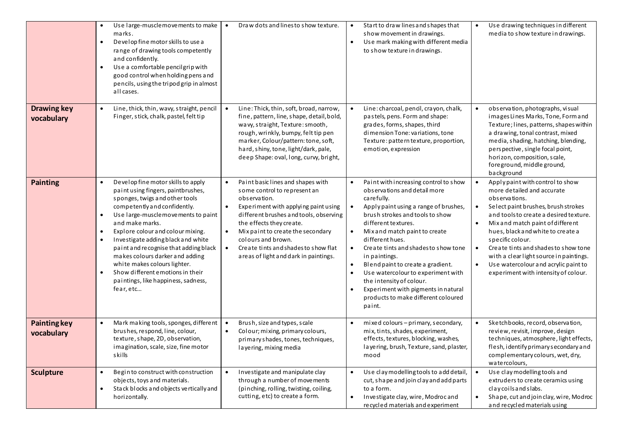|                                   | Use large-musclemovements to make<br>marks.<br>Develop fine motor skills to use a<br>$\bullet$<br>range of drawing tools competently<br>and confidently.<br>Use a comfortable pencilgrip with<br>$\bullet$<br>good control when holding pens and<br>pencils, using the tripod grip in almost<br>all cases.                                                                                                                                                                                                                             | Draw dots and lines to show texture.<br>$\bullet$                                                                                                                                                                                                                                                                                                                                               | Start to draw lines and shapes that<br>show movement in drawings.<br>Use mark making with different media<br>$\bullet$<br>to show texture in drawings.                                                                                                                                                                                                                                                                                                                                                                                                                           | Use drawing techniques in different<br>media to show texture in drawings.                                                                                                                                                                                                                                                                                                                                                                    |
|-----------------------------------|----------------------------------------------------------------------------------------------------------------------------------------------------------------------------------------------------------------------------------------------------------------------------------------------------------------------------------------------------------------------------------------------------------------------------------------------------------------------------------------------------------------------------------------|-------------------------------------------------------------------------------------------------------------------------------------------------------------------------------------------------------------------------------------------------------------------------------------------------------------------------------------------------------------------------------------------------|----------------------------------------------------------------------------------------------------------------------------------------------------------------------------------------------------------------------------------------------------------------------------------------------------------------------------------------------------------------------------------------------------------------------------------------------------------------------------------------------------------------------------------------------------------------------------------|----------------------------------------------------------------------------------------------------------------------------------------------------------------------------------------------------------------------------------------------------------------------------------------------------------------------------------------------------------------------------------------------------------------------------------------------|
| <b>Drawing key</b><br>vocabulary  | Line, thick, thin, wavy, straight, pencil<br>$\bullet$<br>Finger, stick, chalk, pastel, felt tip                                                                                                                                                                                                                                                                                                                                                                                                                                       | Line: Thick, thin, soft, broad, narrow,<br>$\bullet$<br>fine, pattern, line, shape, detail, bold,<br>wavy, straight, Texture: smooth,<br>rough, wrinkly, bumpy, felt tip pen<br>marker, Colour/pattern: tone, soft,<br>hard, shiny, tone, light/dark, pale,<br>deep Shape: oval, long, curvy, bright,                                                                                           | Line: charcoal, pencil, crayon, chalk,<br>pastels, pens. Form and shape:<br>grades, forms, shapes, third<br>dimension Tone: variations, tone<br>Texture: pattern texture, proportion,<br>emotion, expression                                                                                                                                                                                                                                                                                                                                                                     | observation, photographs, visual<br>images Lines Marks, Tone, Form and<br>Texture; lines, patterns, shapes within<br>a drawing, tonal contrast, mixed<br>media, shading, hatching, blending,<br>perspective, single focal point,<br>horizon, composition, scale,<br>foreground, middle ground,<br>background                                                                                                                                 |
| <b>Painting</b>                   | Develop fine motor skills to apply<br>$\bullet$<br>paint using fingers, paintbrushes,<br>sponges, twigs and other tools<br>competently and confidently.<br>Use large-musclemovements to paint<br>$\bullet$<br>and make marks.<br>Explore colour and colour mixing.<br>$\bullet$<br>Investigate adding black and white<br>$\bullet$<br>paint and recognise that adding black<br>makes colours darker and adding<br>white makes colours lighter.<br>Show different emotions in their<br>paintings, like happiness, sadness,<br>fear, etc | Paint basic lines and shapes with<br>$\bullet$<br>some control to represent an<br>observation.<br>Experiment with applying paint using<br>$\bullet$<br>different brushes and tools, observing<br>the effects they create.<br>Mix paint to create the secondary<br>$\bullet$<br>colours and brown.<br>Create tints and shades to show flat<br>$\bullet$<br>areas of light and dark in paintings. | Paint with increasing control to show<br>$\bullet$<br>observations and detail more<br>carefully.<br>Apply paint using a range of brushes,<br>brush strokes and tools to show<br>different textures.<br>Mix and match paint to create<br>$\bullet$<br>different hues.<br>$\bullet$<br>Create tints and shades to show tone<br>in paintings.<br>Blend paint to create a gradient.<br>$\bullet$<br>Use watercolour to experiment with<br>$\bullet$<br>the intensity of colour.<br>Experiment with pigments in natural<br>$\bullet$<br>products to make different coloured<br>paint. | Apply paint with control to show<br>more detailed and accurate<br>observations.<br>Select paint brushes, brush strokes<br>and tools to create a desired texture.<br>Mix and match paint of different<br>hues, black and white to create a<br>specific colour.<br>Create tints and shades to show tone<br>with a clearlight source in paintings.<br>Use watercolour and acrylic paint to<br>$\bullet$<br>experiment with intensity of colour. |
| <b>Painting key</b><br>vocabulary | Mark making tools, sponges, different<br>$\bullet$<br>brushes, respond, line, colour,<br>texture, shape, 2D, observation,<br>imagination, scale, size, fine motor<br>skills                                                                                                                                                                                                                                                                                                                                                            | Brush, size and types, scale<br>$\bullet$<br>Colour; mixing, primary colours,<br>$\bullet$<br>primary shades, tones, techniques,<br>layering, mixing media                                                                                                                                                                                                                                      | mixed colours - primary, secondary,<br>$\bullet$<br>mix, tints, shades, experiment,<br>effects, textures, blocking, washes,<br>layering, brush, Texture, sand, plaster,<br>mood                                                                                                                                                                                                                                                                                                                                                                                                  | Sketchbooks, record, observation,<br>$\bullet$<br>review, revisit, improve, design<br>techniques, atmosphere, light effects,<br>flesh, identify primary secondary and<br>complementary colours, wet, dry,<br>watercolours,                                                                                                                                                                                                                   |
| <b>Sculpture</b>                  | Begin to construct with construction<br>$\bullet$<br>objects, toys and materials.<br>Stack blocks and objects vertically and<br>$\bullet$<br>hori zontally.                                                                                                                                                                                                                                                                                                                                                                            | Investigate and manipulate clay<br>$\bullet$<br>through a number of movements<br>(pinching, rolling, twisting, coiling,<br>cutting, etc) to create a form.                                                                                                                                                                                                                                      | Use clay modelling tools to add detail,<br>$\bullet$<br>cut, shape and join clay and add parts<br>to a form.<br>Investigate clay, wire, Modroc and<br>$\bullet$<br>recycled materials and experiment                                                                                                                                                                                                                                                                                                                                                                             | Use clay modelling tools and<br>$\bullet$<br>extruders to create ceramics using<br>claycoils and slabs.<br>Shape, cut and join clay, wire, Modroc<br>and recycled materials using                                                                                                                                                                                                                                                            |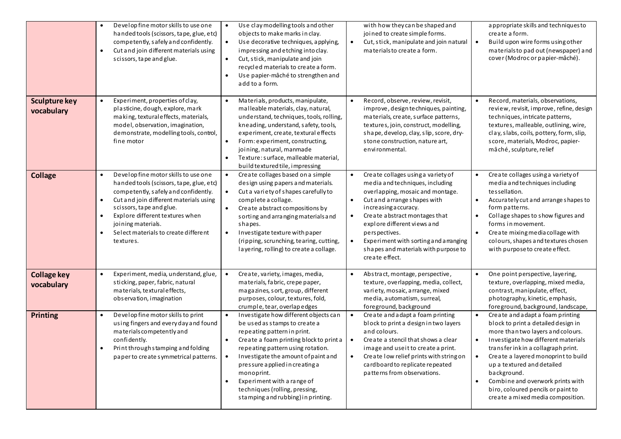|                                    | Develop fine motor skills to use one<br>handed tools (scissors, tape, glue, etc)<br>competently, safely and confidently.<br>Cut and join different materials using<br>$\bullet$<br>scissors, tape and glue.                                                                                                                                                       | Use clay modelling tools and other<br>$\bullet$<br>objects to make marks in clay.<br>$\bullet$<br>Use decorative techniques, applying,<br>impressing and etching into clay.<br>$\bullet$<br>Cut, stick, manipulate and join<br>recycled materials to create a form.<br>Use papier-mâché to strengthen and<br>$\bullet$<br>add to a form.                                                                                  | with how they can be shaped and<br>joined to create simple forms.<br>Cut, stick, manipulate and join natural<br>materialsto create a form.                                                                                                                                                                                                                                                                 | appropriate skills and techniques to<br>create a form.<br>$\bullet$<br>Build upon wire forms using other<br>materials to pad out (newspaper) and<br>cover (Modroc or papier-mâché).                                                                                                                                                                                                                                                 |
|------------------------------------|-------------------------------------------------------------------------------------------------------------------------------------------------------------------------------------------------------------------------------------------------------------------------------------------------------------------------------------------------------------------|---------------------------------------------------------------------------------------------------------------------------------------------------------------------------------------------------------------------------------------------------------------------------------------------------------------------------------------------------------------------------------------------------------------------------|------------------------------------------------------------------------------------------------------------------------------------------------------------------------------------------------------------------------------------------------------------------------------------------------------------------------------------------------------------------------------------------------------------|-------------------------------------------------------------------------------------------------------------------------------------------------------------------------------------------------------------------------------------------------------------------------------------------------------------------------------------------------------------------------------------------------------------------------------------|
| <b>Sculpture key</b><br>vocabulary | $\bullet$<br>Experiment, properties of clay,<br>plasticine, dough, explore, mark<br>making, textural effects, materials,<br>model, observation, imagination,<br>demonstrate, modelling tools, control,<br>fine motor                                                                                                                                              | Materials, products, manipulate,<br>$\bullet$<br>malleable materials, clay, natural,<br>understand, techniques, tools, rolling,<br>kneading, understand, safety, tools,<br>experiment, create, textural effects<br>Form: experiment, constructing,<br>$\bullet$<br>joining, natural, manmade<br>Texture: surface, malleable material,<br>build textured tile, impressing                                                  | Record, observe, review, revisit,<br>$\bullet$<br>improve, design techniques, painting,<br>materials, create, surface patterns,<br>textures, join, construct, modelling,<br>shape, develop, clay, slip, score, dry-<br>stone construction, nature art,<br>environmental.                                                                                                                                   | Record, materials, observations,<br>$\bullet$<br>review, revisit, improve, refine, design<br>techniques, intricate patterns,<br>textures, malleable, outlining, wire,<br>clay, slabs, coils, pottery, form, slip,<br>score, materials, Modroc, papier-<br>mâché, sculpture, relief                                                                                                                                                  |
| <b>Collage</b>                     | Develop fine motor skills to use one<br>$\bullet$<br>handed tools (scissors, tape, glue, etc)<br>competently, safely and confidently.<br>Cut and join different materials using<br>$\bullet$<br>s cissors, tape and glue.<br>Explore different textures when<br>$\bullet$<br>joining materials.<br>Select materials to create different<br>$\bullet$<br>textures. | Create collages based on a simple<br>$\bullet$<br>design using papers and materials.<br>$\bullet$<br>Cut a variety of shapes carefully to<br>complete a collage.<br>Create abstract compositions by<br>$\bullet$<br>sorting and arranging materials and<br>shapes.<br>$\bullet$<br>Investigate texture with paper<br>(ripping, scrunching, tearing, cutting,<br>layering, rolling) to create a collage.                   | Create collages using a variety of<br>$\bullet$<br>media and techniques, including<br>overlapping, mosaic and montage.<br>Cut and arrange shapes with<br>$\bullet$<br>increasing a ccuracy.<br>Create abstract montages that<br>$\bullet$<br>explore different views and<br>pers pectives.<br>Experiment with sorting and a manging<br>$\bullet$<br>shapes and materials with purpose to<br>create effect. | Create collages using a variety of<br>media and techniques including<br>tessellation.<br>Accurately cut and arrange shapes to<br>$\bullet$<br>form patterns.<br>Collage shapes to show figures and<br>$\bullet$<br>forms in movement.<br>$\bullet$<br>Create mixing media collage with<br>colours, shapes and textures chosen<br>with purpose to create effect.                                                                     |
| <b>Collage key</b><br>vocabulary   | Experiment, media, understand, glue,<br>sticking, paper, fabric, natural<br>materials, textural effects,<br>observation, imagination                                                                                                                                                                                                                              | Create, variety, images, media,<br>$\bullet$<br>materials, fabric, crepe paper,<br>magazines, s ort, group, different<br>purposes, colour, textures, fold,<br>crumple, tear, overlapedges                                                                                                                                                                                                                                 | Abstract, montage, perspective,<br>texture, overlapping, media, collect,<br>variety, mosaic, arrange, mixed<br>media, automatism, surreal,<br>foreground, background                                                                                                                                                                                                                                       | One point perspective, layering,<br>texture, overlapping, mixed media,<br>contrast, manipulate, effect,<br>photography, kinetic, emphasis,<br>foreground, background, landscape,                                                                                                                                                                                                                                                    |
| <b>Printing</b>                    | Develop fine motor skills to print<br>using fingers and every day and found<br>materials competently and<br>confidently.<br>Print through stamping and folding<br>$\bullet$<br>paper to create symmetrical patterns.                                                                                                                                              | Investigate how different objects can<br>be used as stamps to create a<br>repeating pattern in print.<br>Create a foam printing block to print a<br>$\bullet$<br>repeating pattern using rotation.<br>Investigate the amount of paint and<br>$\bullet$<br>pressure applied in creating a<br>monoprint.<br>Experiment with a range of<br>$\bullet$<br>techniques (rolling, pressing,<br>stamping and rubbing) in printing. | Create and adapt a foam printing<br>block to print a design in two layers<br>and colours.<br>Create a stencil that shows a clear<br>$\bullet$<br>image and use it to create a print.<br>Create low relief prints with string on<br>$\bullet$<br>cardboard to replicate repeated<br>patterns from observations.                                                                                             | Create and adapt a foam printing<br>block to print a detailed design in<br>more than two layers and colours.<br>Investigate how different materials<br>$\bullet$<br>transfer inkin a collagraph print.<br>Create a layered monoprint to build<br>$\bullet$<br>up a textured and detailed<br>background.<br>Combine and overwork prints with<br>$\bullet$<br>biro, coloured pencils or paint to<br>create a mixed media composition. |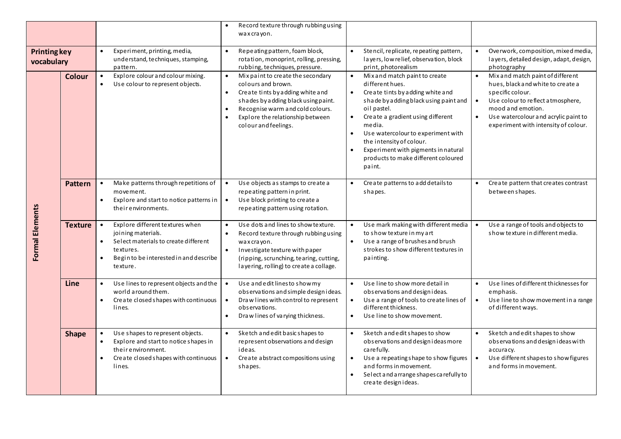|                                   |                |                                                                                                                                                                                                         | Record texture through rubbing using<br>$\bullet$<br>wax crayon.                                                                                                                                                                                                                       |                                                                                                                                                                                                                                                                                                                                                                                                                        |                                                                                                                                                                                                                                                   |
|-----------------------------------|----------------|---------------------------------------------------------------------------------------------------------------------------------------------------------------------------------------------------------|----------------------------------------------------------------------------------------------------------------------------------------------------------------------------------------------------------------------------------------------------------------------------------------|------------------------------------------------------------------------------------------------------------------------------------------------------------------------------------------------------------------------------------------------------------------------------------------------------------------------------------------------------------------------------------------------------------------------|---------------------------------------------------------------------------------------------------------------------------------------------------------------------------------------------------------------------------------------------------|
| <b>Printing key</b><br>vocabulary |                | Experiment, printing, media,<br>understand, techniques, stamping,<br>pattern.                                                                                                                           | Repeating pattern, foam block,<br>$\bullet$<br>rotation, monoprint, rolling, pressing,<br>rubbing, techniques, pressure.                                                                                                                                                               | Stencil, replicate, repeating pattern,<br>layers, low relief, observation, block<br>print, photorealism                                                                                                                                                                                                                                                                                                                | Overwork, composition, mixed media,<br>layers, detailed design, adapt, design,<br>photography                                                                                                                                                     |
|                                   | <b>Colour</b>  | Explore colour and colour mixing.<br>$\bullet$<br>Use colour to represent objects.                                                                                                                      | Mix paint to create the secondary<br>$\bullet$<br>colours and brown.<br>Create tints by adding white and<br>$\bullet$<br>shades by adding black using paint.<br>Recognise warm and cold colours.<br>$\bullet$<br>Explore the relationship between<br>$\bullet$<br>colour and feelings. | Mix and match paint to create<br>$\bullet$<br>different hues.<br>Create tints by adding white and<br>$\bullet$<br>shade by adding black using paint and<br>oil pastel.<br>Create a gradient using different<br>$\bullet$<br>media.<br>Use watercolour to experiment with<br>$\bullet$<br>the intensity of colour.<br>$\bullet$<br>Experiment with pigments in natural<br>products to make different coloured<br>paint. | Mix and match paint of different<br>hues, black and white to create a<br>specific colour.<br>Use colour to reflect a tmosphere,<br>mood and emotion.<br>Use watercolour and acrylic paint to<br>$\bullet$<br>experiment with intensity of colour. |
| Formal Elements                   | <b>Pattern</b> | Make patterns through repetitions of<br>movement.<br>Explore and start to notice patterns in<br>$\bullet$<br>their environments.                                                                        | Use objects as stamps to create a<br>$\bullet$<br>repeating pattern in print.<br>Use block printing to create a<br>$\bullet$<br>repeating pattern using rotation.                                                                                                                      | Create patterns to add details to<br>$\bullet$<br>shapes.                                                                                                                                                                                                                                                                                                                                                              | Create pattern that creates contrast<br>between shapes.                                                                                                                                                                                           |
|                                   | <b>Texture</b> | Explore different textures when<br>$\bullet$<br>joining materials.<br>Select materials to create different<br>$\bullet$<br>textures.<br>Begin to be interested in and describe<br>$\bullet$<br>texture. | Use dots and lines to show texture.<br>$\bullet$<br>$\bullet$<br>Record texture through rubbing using<br>wax crayon.<br>Investigate texture with paper<br>$\bullet$<br>(ripping, scrunching, tearing, cutting,<br>layering, rolling) to create a collage.                              | Use mark making with different media<br>$\bullet$<br>to show texture in my art<br>Use a range of brushes and brush<br>$\bullet$<br>strokes to show different textures in<br>painting.                                                                                                                                                                                                                                  | Use a range of tools and objects to<br>$\bullet$<br>show texture in different media.                                                                                                                                                              |
|                                   | Line           | Use lines to represent objects and the<br>$\bullet$<br>world around them.<br>Create closed shapes with continuous<br>lines.                                                                             | Use and edit lines to show my<br>$\bullet$<br>observations and simple design ideas.<br>Draw lines with control to represent<br>$\bullet$<br>observations.<br>Draw lines of varying thickness.<br>$\bullet$                                                                             | Use line to show more detail in<br>$\bullet$<br>observations and design ideas.<br>Use a range of tools to create lines of<br>$\bullet$<br>different thickness.<br>Use line to show movement.<br>$\bullet$                                                                                                                                                                                                              | Use lines of different thicknesses for<br>emphasis.<br>Use line to show movement in a range<br>$\bullet$<br>of different ways.                                                                                                                    |
|                                   | <b>Shape</b>   | Use shapes to represent objects.<br>Explore and start to notice shapes in<br>$\bullet$<br>their environment.<br>Create closed shapes with continuous<br>$\bullet$<br>lines.                             | Sketch and edit basic shapes to<br>$\bullet$<br>represent observations and design<br>ideas.<br>$\bullet$<br>Create abstract compositions using<br>shapes.                                                                                                                              | Sketch and edit shapes to show<br>$\bullet$<br>observations and design i deasmore<br>carefully.<br>Use a repeating shape to show figures<br>$\bullet$<br>and forms in movement.<br>$\bullet$<br>Select and a rrange shapes carefully to<br>create designideas.                                                                                                                                                         | Sketch and edit shapes to show<br>observations and design i deas with<br>a ccura cy.<br>Use different shapes to show figures<br>$\bullet$<br>and forms in movement.                                                                               |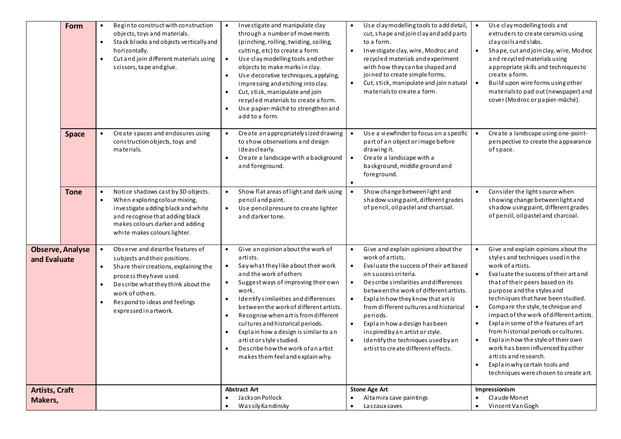|                                         | Form         | Begin to construct with construction<br>objects, toys and materials.<br>Stack blocks and objects vertically and<br>$\bullet$<br>horizontally.<br>Cut and join different materials using<br>$\bullet$<br>scissors, tape and glue.                                                                             | Investigate and manipulate clay<br>$\bullet$<br>through a number of movements<br>(pinching, rolling, twisting, coiling,<br>cutting, etc) to create a form.<br>Use clay modelling tools and other<br>$\bullet$<br>objects to make marks in clay.<br>Use decorative techniques, applying,<br>$\bullet$<br>impressing and etching into clay.<br>Cut, stick, manipulate and join<br>$\bullet$<br>recycled materials to create a form.<br>Use papier-mâché to strengthen and<br>add to a form.                                                                         | Use clay modelling tools to add detail,<br>cut, shape and join clay and add parts<br>to a form.<br>Investigate clay, wire, Modroc and<br>$\bullet$<br>recycled materials and experiment<br>with how they can be shaped and<br>joined to create simple forms.<br>Cut, stick, manipulate and join natural<br>$\bullet$<br>materialsto create a form.                                                                                                                                               | Use clay modelling tools and<br>extruders to create ceramics using<br>claycoils and slabs.<br>Shape, cut and join clay, wire, Modroc<br>and recycled materials using<br>appropriate skills and techniques to<br>create a form.<br>Build upon wire forms using other<br>$\bullet$<br>materials to pad out (newspaper) and<br>cover (Modroc or papier-mâché).                                                                                                                                                                                                                                                                       |
|-----------------------------------------|--------------|--------------------------------------------------------------------------------------------------------------------------------------------------------------------------------------------------------------------------------------------------------------------------------------------------------------|-------------------------------------------------------------------------------------------------------------------------------------------------------------------------------------------------------------------------------------------------------------------------------------------------------------------------------------------------------------------------------------------------------------------------------------------------------------------------------------------------------------------------------------------------------------------|--------------------------------------------------------------------------------------------------------------------------------------------------------------------------------------------------------------------------------------------------------------------------------------------------------------------------------------------------------------------------------------------------------------------------------------------------------------------------------------------------|-----------------------------------------------------------------------------------------------------------------------------------------------------------------------------------------------------------------------------------------------------------------------------------------------------------------------------------------------------------------------------------------------------------------------------------------------------------------------------------------------------------------------------------------------------------------------------------------------------------------------------------|
|                                         | <b>Space</b> | Create spaces and endosures using<br>$\bullet$<br>construction objects, toys and<br>materials.                                                                                                                                                                                                               | Create an appropriately sized drawing<br>$\bullet$<br>to show observations and design<br>ideasclearly.<br>Create a landscape with a background<br>and foreground.                                                                                                                                                                                                                                                                                                                                                                                                 | Use a viewfinder to focus on a specific<br>part of an object or image before<br>drawing it.<br>Create a landscape with a<br>$\bullet$<br>background, middle ground and<br>foreground.                                                                                                                                                                                                                                                                                                            | Create a landscape using one-point-<br>$\bullet$<br>perspective to create the appearance<br>of space.                                                                                                                                                                                                                                                                                                                                                                                                                                                                                                                             |
|                                         | <b>Tone</b>  | Notice shadows cast by 3D objects.<br>$\bullet$<br>When exploring colour mixing,<br>$\bullet$<br>investigate adding black and white<br>and recognise that adding black<br>makes colours darker and adding<br>white makes colours lighter.                                                                    | Show flat areas of light and dark using<br>$\bullet$<br>pencil and paint.<br>Use pencil pressure to create lighter<br>$\bullet$<br>and darker tone.                                                                                                                                                                                                                                                                                                                                                                                                               | Show change between light and<br>shadow using paint, different grades<br>of pencil, oil pastel and charcoal.                                                                                                                                                                                                                                                                                                                                                                                     | Consider the light source when<br>$\bullet$<br>showing change between light and<br>shadow using paint, different grades<br>of pencil, oil pastel and charcoal.                                                                                                                                                                                                                                                                                                                                                                                                                                                                    |
| <b>Observe, Analyse</b><br>and Evaluate |              | Observe and describe features of<br>$\bullet$<br>subjects and their positions.<br>Share their creations, explaining the<br>$\bullet$<br>process they have used.<br>Describe what they think about the<br>$\bullet$<br>work of others.<br>Respond to ideas and feelings<br>$\bullet$<br>expressed in artwork. | Give an opinion a bout the work of<br>$\bullet$<br>artists.<br>Say what they like a bout their work<br>$\bullet$<br>and the work of others<br>Suggest ways of improving their own<br>$\bullet$<br>work.<br>Identify similarities and differences<br>$\bullet$<br>between the work of different artists.<br>Recognise when art is from different<br>٠<br>cultures and historical periods.<br>Explain how a design is similar to an<br>$\bullet$<br>artist or style studied.<br>Describe how the work of an artist<br>$\bullet$<br>makes them feel and explain why. | Give and explain opinions about the<br>$\bullet$<br>work of artists.<br>Evaluate the success of their art based<br>$\bullet$<br>on success criteria.<br>Describe similarities and differences<br>$\bullet$<br>between the work of different artists.<br>Explain how they know that art is<br>from different cultures and historical<br>periods.<br>Explain how a design has been<br>inspired by an artist or style.<br>Identify the techniques used by an<br>artist to create different effects. | Give and explain opinions about the<br>$\bullet$<br>styles and techniques used in the<br>work of artists.<br>Evaluate the success of their art and<br>$\bullet$<br>that of their peers based on its<br>purpose and the styles and<br>techniques that have been studied.<br>Compare the style, technique and<br>$\bullet$<br>impact of the work of different artists.<br>Explain some of the features of art<br>from historical periods or cultures.<br>Explain how the style of their own<br>work has been influenced by other<br>artists and research.<br>Explain why certain tools and<br>techniques were chosen to create art. |
| <b>Artists, Craft</b><br>Makers,        |              |                                                                                                                                                                                                                                                                                                              | <b>Abstract Art</b><br>Jacks on Pollock<br>Wassily Kandinsky                                                                                                                                                                                                                                                                                                                                                                                                                                                                                                      | <b>Stone Age Art</b><br>Altamira cave paintings<br>La s caux caves                                                                                                                                                                                                                                                                                                                                                                                                                               | Impressionism<br>Claude Monet<br>Vincent Van Gogh                                                                                                                                                                                                                                                                                                                                                                                                                                                                                                                                                                                 |